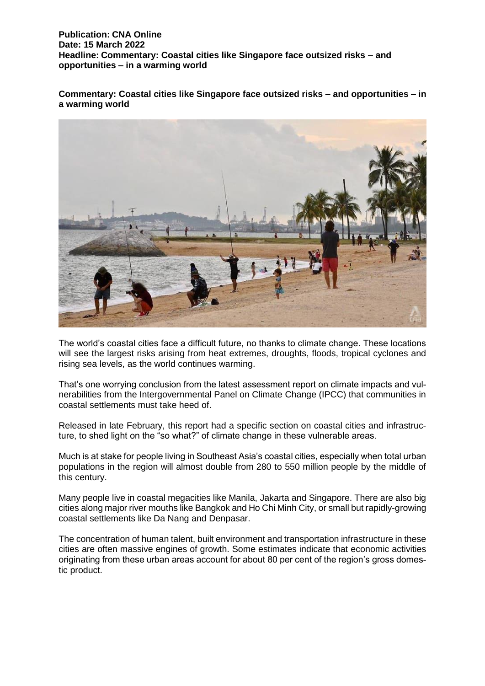**Commentary: Coastal cities like Singapore face outsized risks – and opportunities – in a warming world**



The world's coastal cities face a difficult future, no thanks to climate change. These locations will see the largest risks arising from heat extremes, droughts, floods, tropical cyclones and rising sea levels, as the world continues warming.

That's one worrying conclusion from the latest assessment report on climate impacts and vulnerabilities from the Intergovernmental Panel on Climate Change (IPCC) that communities in coastal settlements must take heed of.

Released in late February, this report had a specific section on coastal cities and infrastructure, to shed light on the "so what?" of climate change in these vulnerable areas.

Much is at stake for people living in Southeast Asia's coastal cities, especially when total urban populations in the region will almost double from 280 to 550 million people by the middle of this century.

Many people live in coastal megacities like Manila, Jakarta and Singapore. There are also big cities along major river mouths like Bangkok and Ho Chi Minh City, or small but rapidly-growing coastal settlements like Da Nang and Denpasar.

The concentration of human talent, built environment and transportation infrastructure in these cities are often massive engines of growth. Some estimates indicate that economic activities originating from these urban areas account for about 80 per cent of the region's gross domestic product.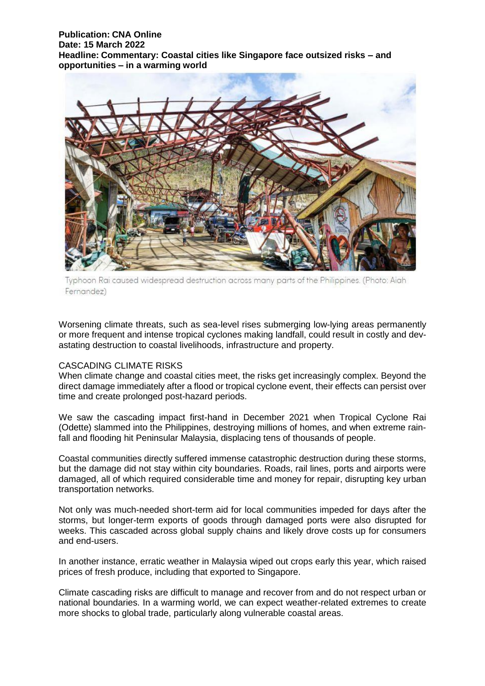

Typhoon Rai caused widespread destruction across many parts of the Philippines. (Photo: Aiah Fernandez)

Worsening climate threats, such as sea-level rises submerging low-lying areas permanently or more frequent and intense tropical cyclones making landfall, could result in costly and devastating destruction to coastal livelihoods, infrastructure and property.

#### CASCADING CLIMATE RISKS

When climate change and coastal cities meet, the risks get increasingly complex. Beyond the direct damage immediately after a flood or tropical cyclone event, their effects can persist over time and create prolonged post-hazard periods.

We saw the cascading impact first-hand in December 2021 when Tropical Cyclone Rai (Odette) slammed into the Philippines, destroying millions of homes, and when extreme rainfall and flooding hit Peninsular Malaysia, displacing tens of thousands of people.

Coastal communities directly suffered immense catastrophic destruction during these storms, but the damage did not stay within city boundaries. Roads, rail lines, ports and airports were damaged, all of which required considerable time and money for repair, disrupting key urban transportation networks.

Not only was much-needed short-term aid for local communities impeded for days after the storms, but longer-term exports of goods through damaged ports were also disrupted for weeks. This cascaded across global supply chains and likely drove costs up for consumers and end-users.

In another instance, erratic weather in Malaysia wiped out crops early this year, which raised prices of fresh produce, including that exported to Singapore.

Climate cascading risks are difficult to manage and recover from and do not respect urban or national boundaries. In a warming world, we can expect weather-related extremes to create more shocks to global trade, particularly along vulnerable coastal areas.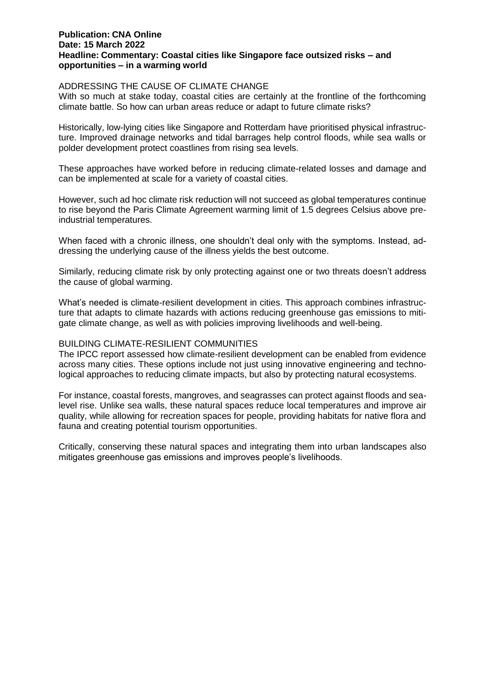## ADDRESSING THE CAUSE OF CLIMATE CHANGE

With so much at stake today, coastal cities are certainly at the frontline of the forthcoming climate battle. So how can urban areas reduce or adapt to future climate risks?

Historically, low-lying cities like Singapore and Rotterdam have prioritised physical infrastructure. Improved drainage networks and tidal barrages help control floods, while sea walls or polder development protect coastlines from rising sea levels.

These approaches have worked before in reducing climate-related losses and damage and can be implemented at scale for a variety of coastal cities.

However, such ad hoc climate risk reduction will not succeed as global temperatures continue to rise beyond the Paris Climate Agreement warming limit of 1.5 degrees Celsius above preindustrial temperatures.

When faced with a chronic illness, one shouldn't deal only with the symptoms. Instead, addressing the underlying cause of the illness yields the best outcome.

Similarly, reducing climate risk by only protecting against one or two threats doesn't address the cause of global warming.

What's needed is climate-resilient development in cities. This approach combines infrastructure that adapts to climate hazards with actions reducing greenhouse gas emissions to mitigate climate change, as well as with policies improving livelihoods and well-being.

## BUILDING CLIMATE-RESILIENT COMMUNITIES

The IPCC report assessed how climate-resilient development can be enabled from evidence across many cities. These options include not just using innovative engineering and technological approaches to reducing climate impacts, but also by protecting natural ecosystems.

For instance, coastal forests, mangroves, and seagrasses can protect against floods and sealevel rise. Unlike sea walls, these natural spaces reduce local temperatures and improve air quality, while allowing for recreation spaces for people, providing habitats for native flora and fauna and creating potential tourism opportunities.

Critically, conserving these natural spaces and integrating them into urban landscapes also mitigates greenhouse gas emissions and improves people's livelihoods.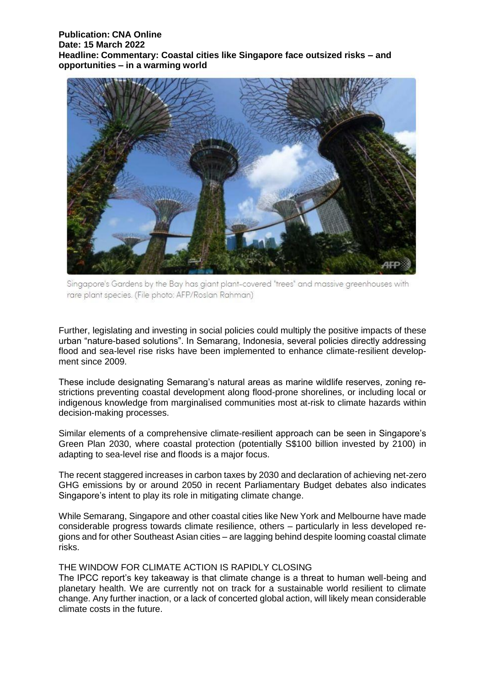

Singapore's Gardens by the Bay has giant plant-covered "trees" and massive greenhouses with rare plant species. (File photo: AFP/Roslan Rahman)

Further, legislating and investing in social policies could multiply the positive impacts of these urban "nature-based solutions". In Semarang, Indonesia, several policies directly addressing flood and sea-level rise risks have been implemented to enhance climate-resilient development since 2009.

These include designating Semarang's natural areas as marine wildlife reserves, zoning restrictions preventing coastal development along flood-prone shorelines, or including local or indigenous knowledge from marginalised communities most at-risk to climate hazards within decision-making processes.

Similar elements of a comprehensive climate-resilient approach can be seen in Singapore's Green Plan 2030, where coastal protection (potentially S\$100 billion invested by 2100) in adapting to sea-level rise and floods is a major focus.

The recent staggered increases in carbon taxes by 2030 and declaration of achieving net-zero GHG emissions by or around 2050 in recent Parliamentary Budget debates also indicates Singapore's intent to play its role in mitigating climate change.

While Semarang, Singapore and other coastal cities like New York and Melbourne have made considerable progress towards climate resilience, others – particularly in less developed regions and for other Southeast Asian cities – are lagging behind despite looming coastal climate risks.

# THE WINDOW FOR CLIMATE ACTION IS RAPIDLY CLOSING

The IPCC report's key takeaway is that climate change is a threat to human well-being and planetary health. We are currently not on track for a sustainable world resilient to climate change. Any further inaction, or a lack of concerted global action, will likely mean considerable climate costs in the future.